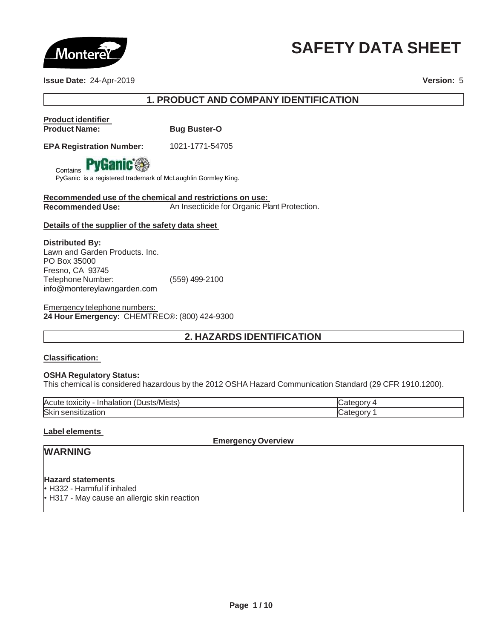

# **SAFETY DATA SHEET**

**Issue Date:** 24-Apr-2019 **Version:** 5

# **1. PRODUCT AND COMPANY IDENTIFICATION**

# **Product identifier**

**Contains** 

**Bug Buster-O** 

**EPA Registration Number:** 1021-1771-54705



PyGanic is a registered trademark of McLaughlin Gormley King.

**Recommended use of the chemical and restrictions on use: Recommended Use:** An Insecticide for Organic Plant Protection.

## **Details of the supplier of the safety data sheet**

**Distributed By:** Lawn and Garden Products. Inc. PO Box 35000 Fresno, CA 93745 Telephone Number: (559) 499-2100 [info@montereylawngarden.com](mailto:info@montereylawngarden.com)

Emergency telephone numbers: **24 Hour Emergency:** CHEMTREC®: (800) 424-9300

# **2. HAZARDS IDENTIFICATION**

## **Classification:**

## **OSHA Regulatory Status:**

This chemical is considered hazardous by the 2012 OSHA Hazard Communication Standard (29 CFR 1910.1200).

| $\mathbf{r}$ $\mathbf{r}$<br>Acute<br>/Mistsˈ<br>.<br>JUST <sup>e</sup><br>ını<br>. τοχισ<br>пакног.<br>. . II V |  |
|------------------------------------------------------------------------------------------------------------------|--|
| Skir<br>i sensitization.<br>__                                                                                   |  |

## **Label elements**

**Emergency Overview**

# **WARNING**

**Hazard statements**

• H332 - Harmful if inhaled • H317 - May cause an allergic skin reaction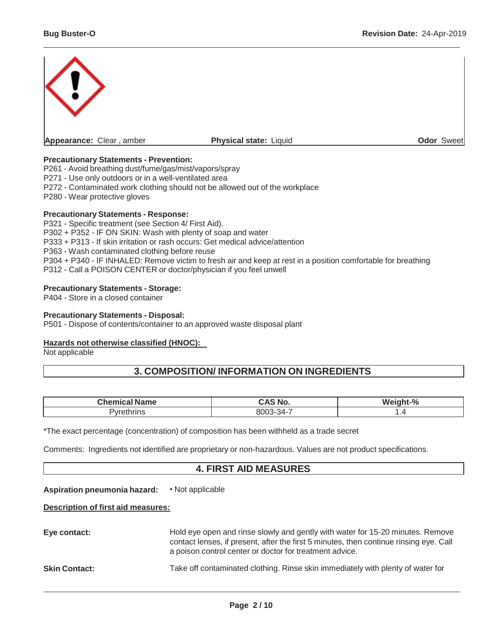

## **Precautionary Statements - Prevention:**

P261 - Avoid breathing dust/fume/gas/mist/vapors/spray

P271 - Use only outdoors or in a well-ventilated area

P272 - Contaminated work clothing should not be allowed out of the workplace

P280 - Wear protective gloves

### **Precautionary Statements - Response:**

P321 - Specific treatment (see Section 4/ First Aid). P302 + P352 - IF ON SKIN: Wash with plenty of soap and water P333 + P313 - If skin irritation or rash occurs: Get medical advice/attention P363 - Wash contaminated clothing before reuse P304 + P340 - IF INHALED: Remove victim to fresh air and keep at rest in a position comfortable for breathing P312 - Call a POISON CENTER or doctor/physician if you feel unwell

## **Precautionary Statements - Storage:**

P404 - Store in a closed container

## **Precautionary Statements - Disposal:**

P501 - Dispose of contents/container to an approved waste disposal plant

## **Hazards not otherwise classified (HNOC):**

Not applicable

## **3. COMPOSITION/ INFORMATION ON INGREDIENTS**

| ∩hemic<br>me- | . .<br>'N t<br>$ -$      | $\Omega$<br>W.<br>70 |
|---------------|--------------------------|----------------------|
| ' II I        | .<br>ิ - ∠/1<br>ור<br>∼. |                      |

\*The exact percentage (concentration) of composition has been withheld as a trade secret

Comments: Ingredients not identified are proprietary or non-hazardous. Values are not product specifications.

## **4. FIRST AID MEASURES**

**Aspiration pneumonia hazard:** • Not applicable

## **Description of first aid measures:**

| Eye contact:         | Hold eye open and rinse slowly and gently with water for 15-20 minutes. Remove<br>contact lenses, if present, after the first 5 minutes, then continue rinsing eye. Call<br>a poison control center or doctor for treatment advice. |
|----------------------|-------------------------------------------------------------------------------------------------------------------------------------------------------------------------------------------------------------------------------------|
| <b>Skin Contact:</b> | Take off contaminated clothing. Rinse skin immediately with plenty of water for                                                                                                                                                     |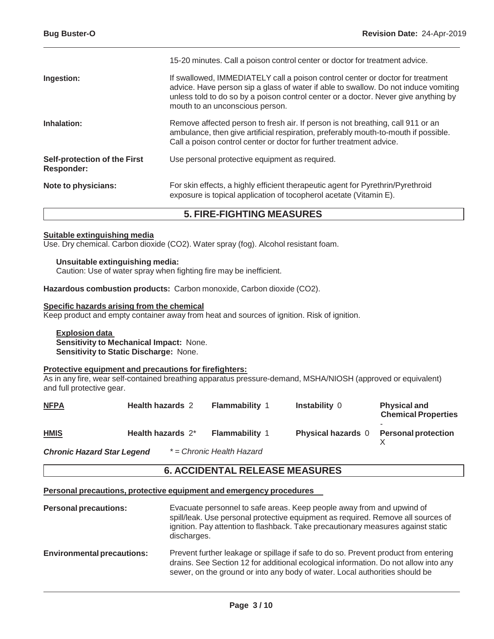|                                                   | 15-20 minutes. Call a poison control center or doctor for treatment advice.                                                                                                                                                                                                                     |
|---------------------------------------------------|-------------------------------------------------------------------------------------------------------------------------------------------------------------------------------------------------------------------------------------------------------------------------------------------------|
| Ingestion:                                        | If swallowed, IMMEDIATELY call a poison control center or doctor for treatment<br>advice. Have person sip a glass of water if able to swallow. Do not induce vomiting<br>unless told to do so by a poison control center or a doctor. Never give anything by<br>mouth to an unconscious person. |
| Inhalation:                                       | Remove affected person to fresh air. If person is not breathing, call 911 or an<br>ambulance, then give artificial respiration, preferably mouth-to-mouth if possible.<br>Call a poison control center or doctor for further treatment advice.                                                  |
| Self-protection of the First<br><b>Responder:</b> | Use personal protective equipment as required.                                                                                                                                                                                                                                                  |
| Note to physicians:                               | For skin effects, a highly efficient therapeutic agent for Pyrethrin/Pyrethroid<br>exposure is topical application of tocopherol acetate (Vitamin E).                                                                                                                                           |

# **5. FIRE-FIGHTING MEASURES**

## **Suitable extinguishing media**

Use. Dry chemical. Carbon dioxide (CO2). Water spray (fog). Alcohol resistant foam.

### **Unsuitable extinguishing media:**

Caution: Use of water spray when fighting fire may be inefficient.

**Hazardous combustion products:** Carbon monoxide, Carbon dioxide (CO2).

### **Specific hazards arising from the chemical**

Keep product and empty container away from heat and sources of ignition. Risk of ignition.

**Explosion data Sensitivity to Mechanical Impact:** None. **Sensitivity to Static Discharge:** None.

## **Protective equipment and precautions for firefighters:**

As in any fire, wear self-contained breathing apparatus pressure-demand, MSHA/NIOSH (approved or equivalent) and full protective gear.

| <u>NFPA</u>                  | <b>Health hazards 2</b> | <b>Flammability 1</b>    | <b>Instability 0</b>      | <b>Physical and</b><br><b>Chemical Properties</b> |
|------------------------------|-------------------------|--------------------------|---------------------------|---------------------------------------------------|
| <b>HMIS</b>                  | Health hazards 2*       | <b>Flammability 1</b>    | <b>Physical hazards</b> 0 | <b>Personal protection</b>                        |
| Objects Hamered Ofan Lamarad |                         | * Chronic Hoolth Homeral |                           |                                                   |

*Chronic Hazard Star Legend \* = Chronic Health Hazard*

## **6. ACCIDENTAL RELEASE MEASURES**

### **Personal precautions, protective equipment and emergency procedures**

| <b>Personal precautions:</b>      | Evacuate personnel to safe areas. Keep people away from and upwind of<br>spill/leak. Use personal protective equipment as required. Remove all sources of<br>ignition. Pay attention to flashback. Take precautionary measures against static<br>discharges. |
|-----------------------------------|--------------------------------------------------------------------------------------------------------------------------------------------------------------------------------------------------------------------------------------------------------------|
| <b>Environmental precautions:</b> | Prevent further leakage or spillage if safe to do so. Prevent product from entering<br>drains. See Section 12 for additional ecological information. Do not allow into any<br>sewer, on the ground or into any body of water. Local authorities should be    |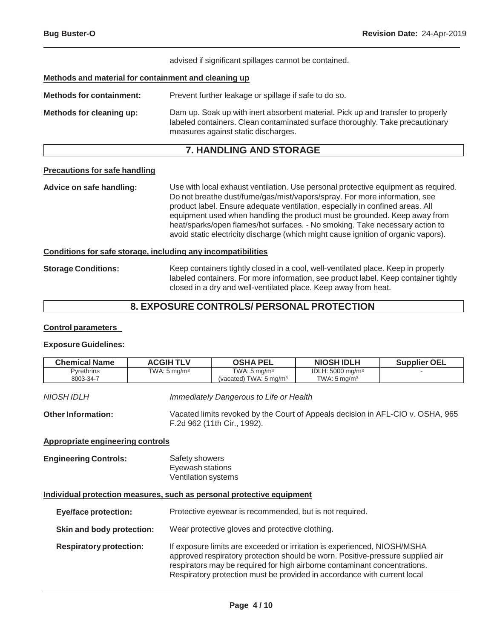advised if significant spillages cannot be contained.

## **Methods and material for containment and cleaning up**

**Methods for containment:** Prevent further leakage or spillage if safe to do so. **Methods for cleaning up:** Dam up. Soak up with inert absorbent material. Pick up and transfer to properly labeled containers. Clean contaminated surface thoroughly. Take precautionary measures against static discharges.

## **7. HANDLING AND STORAGE**

## **Precautions for safe handling**

**Advice on safe handling:** Use with local exhaust ventilation. Use personal protective equipment as required. Do not breathe dust/fume/gas/mist/vapors/spray. For more information, see product label. Ensure adequate ventilation, especially in confined areas. All equipment used when handling the product must be grounded. Keep away from heat/sparks/open flames/hot surfaces. - No smoking. Take necessary action to avoid static electricity discharge (which might cause ignition of organic vapors).

### **Conditions for safe storage, including any incompatibilities**

**Storage Conditions:** Keep containers tightly closed in a cool, well-ventilated place. Keep in properly labeled containers. For more information, see product label. Keep container tightly closed in a dry and well-ventilated place. Keep away from heat.

## **8. EXPOSURE CONTROLS/ PERSONAL PROTECTION**

#### **Control parameters**

#### **Exposure Guidelines:**

| <b>Chemical Name</b>           | <b>ACGIHTLV</b>            | <b>OSHA PEL</b>                                              | <b>NIOSH IDLH</b>                                      | <b>Supplier OEL</b> |
|--------------------------------|----------------------------|--------------------------------------------------------------|--------------------------------------------------------|---------------------|
| <b>Pyrethrins</b><br>8003-34-7 | TWA: $5 \,\mathrm{mq/m^3}$ | TWA: $5 \text{ mg/m}^3$<br>(vacated) TWA: $5 \text{ ma/m}^3$ | IDLH: $5000 \text{ mg/m}^3$<br>TWA: $5 \text{ ma/m}^3$ |                     |
|                                |                            |                                                              |                                                        |                     |

*NIOSH IDLH Immediately Dangerous to Life or Health*

**OtherInformation:** Vacated limits revoked by the Court of Appeals decision in AFL-CIO v. OSHA, 965 F.2d 962 (11th Cir., 1992).

## **Appropriate engineering controls**

**Engineering Controls:** Safety showers Eyewash stations Ventilation systems

## **Individual protection measures, such as personal protective equipment**

**Eye/face protection:** Protective eyewear is recommended, but is not required. **Skin and body protection:** Wear protective gloves and protective clothing. **Respiratoryprotection:** If exposure limits are exceeded or irritation is experienced, NIOSH/MSHA approved respiratory protection should be worn. Positive-pressure supplied air respirators may be required for high airborne contaminant concentrations. Respiratory protection must be provided in accordance with current local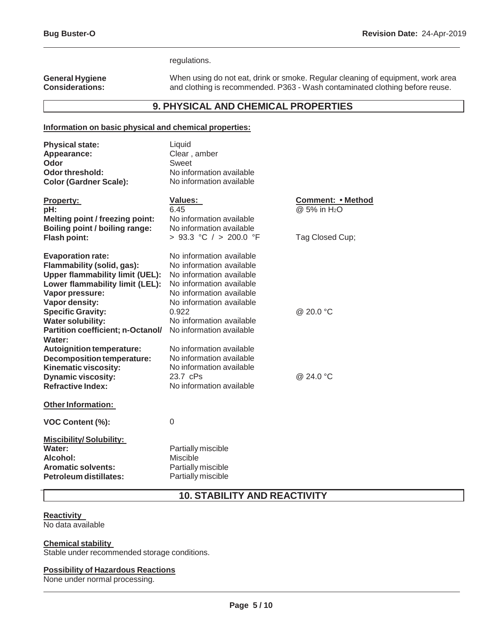### regulations.

#### **General Hygiene Considerations:**

When using do not eat, drink or smoke. Regular cleaning of equipment, work area and clothing is recommended. P363 - Wash contaminated clothing before reuse.

# **9. PHYSICAL AND CHEMICAL PROPERTIES**

## **Information on basic physical and chemical properties:**

| <b>Physical state:</b><br>Appearance:<br>Odor<br>Odor threshold:<br><b>Color (Gardner Scale):</b>                                                                                                                                                                                                                   | Liquid<br>Clear, amber<br>Sweet<br>No information available<br>No information available                                                                                                                                                                           |                                                                         |
|---------------------------------------------------------------------------------------------------------------------------------------------------------------------------------------------------------------------------------------------------------------------------------------------------------------------|-------------------------------------------------------------------------------------------------------------------------------------------------------------------------------------------------------------------------------------------------------------------|-------------------------------------------------------------------------|
| <u>Property:</u><br>pH:<br><b>Melting point / freezing point:</b><br>Boiling point / boiling range:<br><b>Flash point:</b>                                                                                                                                                                                          | Values:<br>6.45<br>No information available<br>No information available<br>> 93.3 °C / > 200.0 °F                                                                                                                                                                 | <b>Comment: • Method</b><br>@ 5% in H <sub>2</sub> O<br>Tag Closed Cup; |
| <b>Evaporation rate:</b><br>Flammability (solid, gas):<br><b>Upper flammability limit (UEL):</b><br>Lower flammability limit (LEL):<br>Vapor pressure:<br>Vapor density:<br><b>Specific Gravity:</b><br><b>Water solubility:</b><br>Partition coefficient; n-Octanol/<br>Water:<br><b>Autoignition temperature:</b> | No information available<br>No information available<br>No information available<br>No information available<br>No information available<br>No information available<br>0.922<br>No information available<br>No information available<br>No information available | @ 20.0 °C                                                               |
| Decomposition temperature:<br>Kinematic viscosity:<br><b>Dynamic viscosity:</b><br><b>Refractive Index:</b>                                                                                                                                                                                                         | No information available<br>No information available<br>23.7 cPs<br>No information available                                                                                                                                                                      | @ 24.0 $^{\circ}$ C                                                     |
| <b>Other Information:</b>                                                                                                                                                                                                                                                                                           |                                                                                                                                                                                                                                                                   |                                                                         |
| VOC Content (%):                                                                                                                                                                                                                                                                                                    | 0                                                                                                                                                                                                                                                                 |                                                                         |
| <b>Miscibility/Solubility:</b><br>Water:<br>Alcohol:<br><b>Aromatic solvents:</b><br><b>Petroleum distillates:</b>                                                                                                                                                                                                  | Partially miscible<br><b>Miscible</b><br>Partially miscible<br>Partially miscible                                                                                                                                                                                 |                                                                         |

## **10. STABILITY AND REACTIVITY**

## **Reactivity**

No data available

## **Chemical stability**

Stable under recommended storage conditions.

## **Possibility of Hazardous Reactions**

None under normal processing.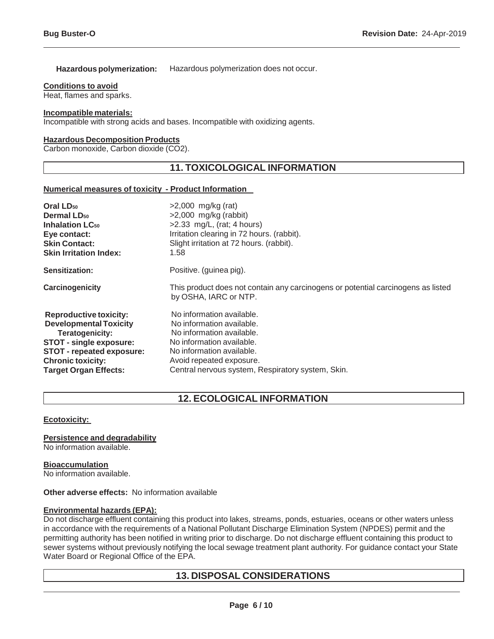## **Hazardous polymerization:** Hazardous polymerization does not occur.

## **Conditions to avoid**

Heat, flames and sparks.

## **Incompatible materials:**

Incompatible with strong acids and bases. Incompatible with oxidizing agents.

## **Hazardous Decomposition Products**

Carbon monoxide, Carbon dioxide (CO2).

## **11. TOXICOLOGICAL INFORMATION**

### **Numerical measures of toxicity - Product Information**

| Oral LD <sub>50</sub>             | $>2,000$ mg/kg (rat)                                                                                      |
|-----------------------------------|-----------------------------------------------------------------------------------------------------------|
| <b>Dermal LD<sub>50</sub></b>     | $>2,000$ mg/kg (rabbit)                                                                                   |
| <b>Inhalation LC<sub>50</sub></b> | $>2.33$ mg/L, (rat; 4 hours)                                                                              |
| Eye contact:                      | Irritation clearing in 72 hours. (rabbit).                                                                |
| <b>Skin Contact:</b>              | Slight irritation at 72 hours. (rabbit).                                                                  |
| <b>Skin Irritation Index:</b>     | 1.58                                                                                                      |
| <b>Sensitization:</b>             | Positive. (guinea pig).                                                                                   |
| Carcinogenicity                   | This product does not contain any carcinogens or potential carcinogens as listed<br>by OSHA, IARC or NTP. |
| <b>Reproductive toxicity:</b>     | No information available.                                                                                 |
| <b>Developmental Toxicity</b>     | No information available.                                                                                 |
| Teratogenicity:                   | No information available.                                                                                 |
| <b>STOT - single exposure:</b>    | No information available.                                                                                 |
| <b>STOT - repeated exposure:</b>  | No information available.                                                                                 |
| <b>Chronic toxicity:</b>          | Avoid repeated exposure.                                                                                  |
| <b>Target Organ Effects:</b>      | Central nervous system, Respiratory system, Skin.                                                         |

# **12. ECOLOGICAL INFORMATION**

## **Ecotoxicity:**

**Persistence and degradability**

No information available.

**Bioaccumulation** No information available.

### **Other adverse effects:** No information available

## **Environmental hazards (EPA):**

Do not discharge effluent containing this product into lakes, streams, ponds, estuaries, oceans or other waters unless in accordance with the requirements of a National Pollutant Discharge Elimination System (NPDES) permit and the permitting authority has been notified in writing prior to discharge. Do not discharge effluent containing this product to sewer systems without previously notifying the local sewage treatment plant authority. For guidance contact your State Water Board or Regional Office of the EPA.

## **13. DISPOSAL CONSIDERATIONS**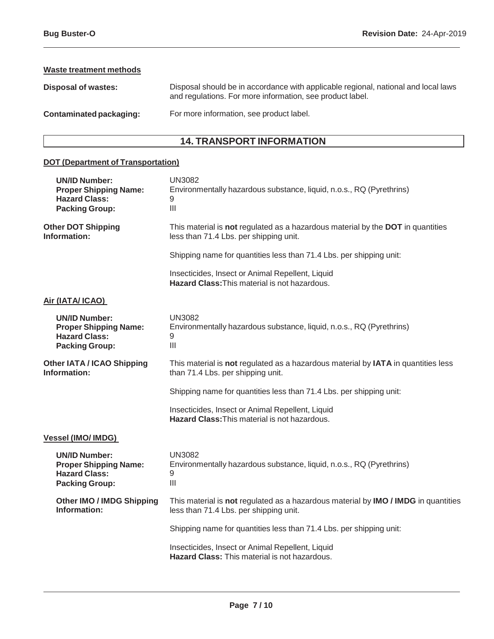## **Waste treatment methods**

| Disposal of wastes:     | Disposal should be in accordance with applicable regional, national and local laws<br>and regulations. For more information, see product label. |
|-------------------------|-------------------------------------------------------------------------------------------------------------------------------------------------|
| Contaminated packaging: | For more information, see product label.                                                                                                        |

# **14. TRANSPORT INFORMATION**

# **DOT (Department of Transportation)**

| <b>UN/ID Number:</b><br><b>Proper Shipping Name:</b><br><b>Hazard Class:</b><br><b>Packing Group:</b> | <b>UN3082</b><br>Environmentally hazardous substance, liquid, n.o.s., RQ (Pyrethrins)<br>9<br>$\begin{array}{c} \hline \end{array}$ |
|-------------------------------------------------------------------------------------------------------|-------------------------------------------------------------------------------------------------------------------------------------|
| <b>Other DOT Shipping</b><br>Information:                                                             | This material is not regulated as a hazardous material by the DOT in quantities<br>less than 71.4 Lbs. per shipping unit.           |
|                                                                                                       | Shipping name for quantities less than 71.4 Lbs. per shipping unit:                                                                 |
|                                                                                                       | Insecticides, Insect or Animal Repellent, Liquid<br><b>Hazard Class: This material is not hazardous.</b>                            |
| Air (IATA/ ICAO)                                                                                      |                                                                                                                                     |
| <b>UN/ID Number:</b><br><b>Proper Shipping Name:</b><br><b>Hazard Class:</b><br><b>Packing Group:</b> | <b>UN3082</b><br>Environmentally hazardous substance, liquid, n.o.s., RQ (Pyrethrins)<br>9<br>III                                   |
| <b>Other IATA / ICAO Shipping</b><br>Information:                                                     | This material is not regulated as a hazardous material by IATA in quantities less<br>than 71.4 Lbs. per shipping unit.              |
|                                                                                                       | Shipping name for quantities less than 71.4 Lbs. per shipping unit:                                                                 |
|                                                                                                       | Insecticides, Insect or Animal Repellent, Liquid<br><b>Hazard Class: This material is not hazardous.</b>                            |
| <b>Vessel (IMO/ IMDG)</b>                                                                             |                                                                                                                                     |
| <b>UN/ID Number:</b><br><b>Proper Shipping Name:</b><br><b>Hazard Class:</b><br><b>Packing Group:</b> | <b>UN3082</b><br>Environmentally hazardous substance, liquid, n.o.s., RQ (Pyrethrins)<br>9<br>$\mathbf{III}$                        |
| <b>Other IMO / IMDG Shipping</b><br>Information:                                                      | This material is not regulated as a hazardous material by IMO / IMDG in quantities<br>less than 71.4 Lbs. per shipping unit.        |
|                                                                                                       | Shipping name for quantities less than 71.4 Lbs. per shipping unit:                                                                 |
|                                                                                                       | Insecticides, Insect or Animal Repellent, Liquid<br><b>Hazard Class: This material is not hazardous.</b>                            |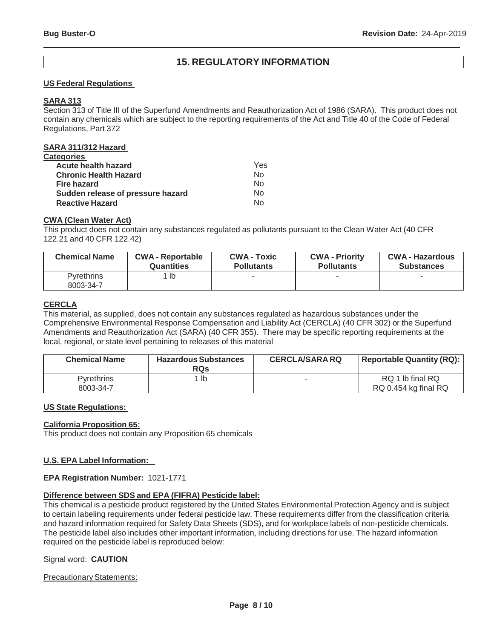## **15. REGULATORY INFORMATION**

## **US Federal Regulations**

## **SARA 313**

Section 313 of Title III of the Superfund Amendments and Reauthorization Act of 1986 (SARA). This product does not contain any chemicals which are subject to the reporting requirements of the Act and Title 40 of the Code of Federal Regulations, Part 372

## **SARA 311/312 Hazard**

| <b>Categories</b>                 |     |
|-----------------------------------|-----|
| Acute health hazard               | Yes |
| <b>Chronic Health Hazard</b>      | No  |
| <b>Fire hazard</b>                | No  |
| Sudden release of pressure hazard | No  |
| <b>Reactive Hazard</b>            | N۵  |

## **CWA (Clean Water Act)**

This product does not contain any substances regulated as pollutants pursuant to the Clean Water Act (40 CFR 122.21 and 40 CFR 122.42)

| <b>Chemical Name</b>           | <b>CWA - Reportable</b> | <b>CWA - Toxic</b> | <b>CWA - Priority</b> | <b>CWA - Hazardous</b> |
|--------------------------------|-------------------------|--------------------|-----------------------|------------------------|
|                                | <b>Quantities</b>       | <b>Pollutants</b>  | <b>Pollutants</b>     | <b>Substances</b>      |
| <b>Pyrethrins</b><br>8003-34-7 | 1 lb                    |                    | -                     |                        |

## **CERCLA**

This material, as supplied, does not contain any substances regulated as hazardous substances under the Comprehensive Environmental Response Compensation and Liability Act (CERCLA) (40 CFR 302) or the Superfund Amendments and Reauthorization Act (SARA) (40 CFR 355). There may be specific reporting requirements at the local, regional, or state level pertaining to releases of this material

| <b>Chemical Name</b>           | <b>Hazardous Substances</b><br><b>RQs</b> | <b>CERCLA/SARA RQ</b> | <b>Reportable Quantity (RQ):</b>         |
|--------------------------------|-------------------------------------------|-----------------------|------------------------------------------|
| <b>Pyrethrins</b><br>8003-34-7 | lb                                        | $\sim$                | RQ 1 lb final RQ<br>RQ 0.454 kg final RQ |

#### **US State Regulations:**

#### **California Proposition 65:**

This product does not contain any Proposition 65 chemicals

## **U.S. EPA Label Information:**

## **EPA Registration Number:** 1021-1771

#### **Difference between SDS and EPA (FIFRA) Pesticide label:**

This chemical is a pesticide product registered by the United States Environmental Protection Agency and is subject to certain labeling requirements under federal pesticide law. These requirements differ from the classification criteria and hazard information required for Safety Data Sheets (SDS), and for workplace labels of non-pesticide chemicals. The pesticide label also includes other important information, including directions for use. The hazard information required on the pesticide label is reproduced below:

## Signal word: **CAUTION**

**Precautionary Statements:**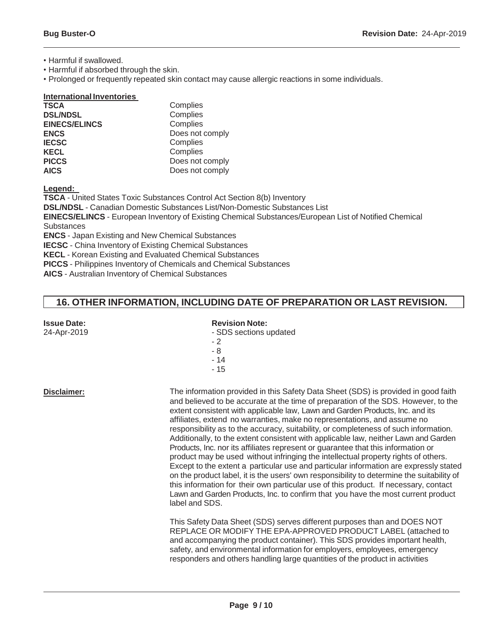• Harmful if swallowed.

• Harmful if absorbed through the skin.

• Prolonged or frequently repeated skin contact may cause allergic reactions in some individuals.

| <b>International Inventories</b> |                 |
|----------------------------------|-----------------|
| <b>TSCA</b>                      | Complies        |
| <b>DSL/NDSL</b>                  | Complies        |
| <b>EINECS/ELINCS</b>             | Complies        |
| <b>ENCS</b>                      | Does not comply |
| <b>IECSC</b>                     | Complies        |
| <b>KECL</b>                      | Complies        |
| <b>PICCS</b>                     | Does not comply |
| <b>AICS</b>                      | Does not comply |

**Legend:**

**TSCA** - United States Toxic Substances Control Act Section 8(b) Inventory **DSL/NDSL** - Canadian Domestic Substances List/Non-Domestic Substances List **EINECS/ELINCS** - European Inventory of Existing Chemical Substances/European List of Notified Chemical **Substances ENCS** - Japan Existing and New Chemical Substances **IECSC** - China Inventory of Existing Chemical Substances **KECL** - Korean Existing and Evaluated Chemical Substances **PICCS** - Philippines Inventory of Chemicals and Chemical Substances

**AICS** - Australian Inventory of Chemical Substances

## **16. OTHER INFORMATION, INCLUDING DATE OF PREPARATION OR LAST REVISION.**

| <b>Issue Date:</b><br>24-Apr-2019 | <b>Revision Note:</b><br>- SDS sections updated<br>$-2$<br>- 8<br>$-14$<br>$-15$                                                                                                                                                                                                                                                                                                                                                                                                                                                                                                                                                                                                                                                                                                                                                                                                                                                                                                                                                                                                    |
|-----------------------------------|-------------------------------------------------------------------------------------------------------------------------------------------------------------------------------------------------------------------------------------------------------------------------------------------------------------------------------------------------------------------------------------------------------------------------------------------------------------------------------------------------------------------------------------------------------------------------------------------------------------------------------------------------------------------------------------------------------------------------------------------------------------------------------------------------------------------------------------------------------------------------------------------------------------------------------------------------------------------------------------------------------------------------------------------------------------------------------------|
| Disclaimer:                       | The information provided in this Safety Data Sheet (SDS) is provided in good faith<br>and believed to be accurate at the time of preparation of the SDS. However, to the<br>extent consistent with applicable law, Lawn and Garden Products, Inc. and its<br>affiliates, extend no warranties, make no representations, and assume no<br>responsibility as to the accuracy, suitability, or completeness of such information.<br>Additionally, to the extent consistent with applicable law, neither Lawn and Garden<br>Products, Inc. nor its affiliates represent or guarantee that this information or<br>product may be used without infringing the intellectual property rights of others.<br>Except to the extent a particular use and particular information are expressly stated<br>on the product label, it is the users' own responsibility to determine the suitability of<br>this information for their own particular use of this product. If necessary, contact<br>Lawn and Garden Products, Inc. to confirm that you have the most current product<br>label and SDS. |
|                                   | This Safety Data Sheet (SDS) serves different purposes than and DOES NOT<br>REPLACE OR MODIFY THE EPA-APPROVED PRODUCT LABEL (attached to<br>and accompanying the product container). This SDS provides important health,<br>safety, and environmental information for employers, employees, emergency<br>responders and others handling large quantities of the product in activities                                                                                                                                                                                                                                                                                                                                                                                                                                                                                                                                                                                                                                                                                              |